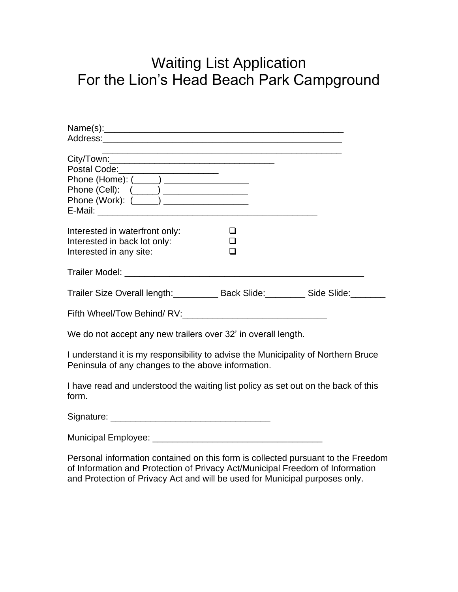## Waiting List Application For the Lion's Head Beach Park Campground

| Postal Code:______________________<br>Phone (Home): (_____) ____________________<br>Phone (Work): (_____) _________________                                                                                                                      |             |  |
|--------------------------------------------------------------------------------------------------------------------------------------------------------------------------------------------------------------------------------------------------|-------------|--|
| Interested in waterfront only:<br>Interested in back lot only:<br>Interested in any site:                                                                                                                                                        | $\Box$<br>∩ |  |
|                                                                                                                                                                                                                                                  |             |  |
| Trailer Size Overall length: _________ Back Slide: ________ Side Slide: ______                                                                                                                                                                   |             |  |
| Fifth Wheel/Tow Behind/RV:                                                                                                                                                                                                                       |             |  |
| We do not accept any new trailers over 32' in overall length.                                                                                                                                                                                    |             |  |
| I understand it is my responsibility to advise the Municipality of Northern Bruce<br>Peninsula of any changes to the above information.                                                                                                          |             |  |
| I have read and understood the waiting list policy as set out on the back of this<br>form.                                                                                                                                                       |             |  |
|                                                                                                                                                                                                                                                  |             |  |
|                                                                                                                                                                                                                                                  |             |  |
| Personal information contained on this form is collected pursuant to the Freedom<br>of Information and Protection of Privacy Act/Municipal Freedom of Information<br>and Protection of Privacy Act and will be used for Municipal purposes only. |             |  |